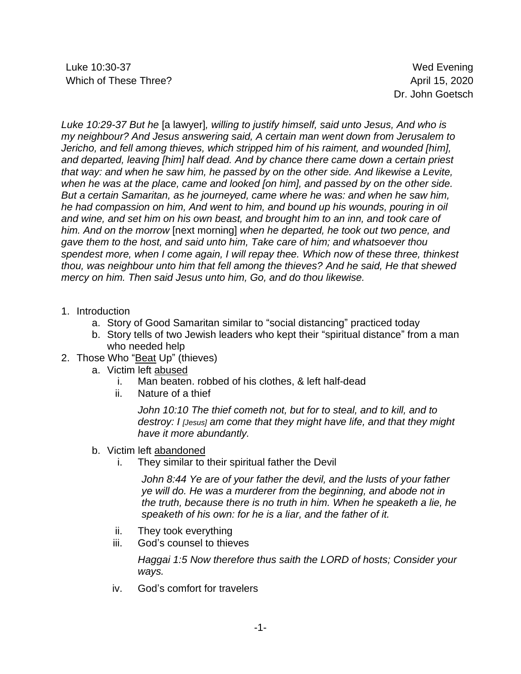Luke 10:30-37 Wed Evening Which of These Three? April 15, 2020

Dr. John Goetsch

*Luke 10:29-37 But he* [a lawyer]*, willing to justify himself, said unto Jesus, And who is my neighbour? And Jesus answering said, A certain man went down from Jerusalem to Jericho, and fell among thieves, which stripped him of his raiment, and wounded [him], and departed, leaving [him] half dead. And by chance there came down a certain priest that way: and when he saw him, he passed by on the other side. And likewise a Levite, when he was at the place, came and looked [on him], and passed by on the other side. But a certain Samaritan, as he journeyed, came where he was: and when he saw him, he had compassion on him, And went to him, and bound up his wounds, pouring in oil and wine, and set him on his own beast, and brought him to an inn, and took care of him. And on the morrow* [next morning] *when he departed, he took out two pence, and gave them to the host, and said unto him, Take care of him; and whatsoever thou spendest more, when I come again, I will repay thee. Which now of these three, thinkest thou, was neighbour unto him that fell among the thieves? And he said, He that shewed mercy on him. Then said Jesus unto him, Go, and do thou likewise.*

- 1. Introduction
	- a. Story of Good Samaritan similar to "social distancing" practiced today
	- b. Story tells of two Jewish leaders who kept their "spiritual distance" from a man who needed help
- 2. Those Who "Beat Up" (thieves)
	- a. Victim left abused
		- i. Man beaten. robbed of his clothes, & left half-dead
		- ii. Nature of a thief

*John 10:10 The thief cometh not, but for to steal, and to kill, and to destroy: I [Jesus] am come that they might have life, and that they might have it more abundantly.*

- b. Victim left abandoned
	- i. They similar to their spiritual father the Devil

*John 8:44 Ye are of your father the devil, and the lusts of your father ye will do. He was a murderer from the beginning, and abode not in the truth, because there is no truth in him. When he speaketh a lie, he speaketh of his own: for he is a liar, and the father of it.*

- ii. They took everything
- iii. God's counsel to thieves

*Haggai 1:5 Now therefore thus saith the LORD of hosts; Consider your ways.*

iv. God's comfort for travelers